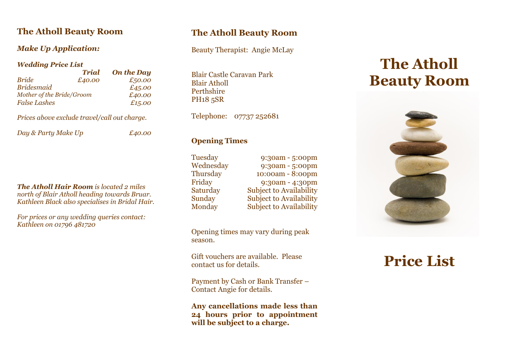## **The Atholl Beauty Room**

### *Make Up Application:*

### *Wedding Price List*

| Trial                     | <b>On the Day</b> |
|---------------------------|-------------------|
| £40.00                    | £50.00            |
|                           | £45.00            |
| Mother of the Bride/Groom | £40.00            |
|                           | £15.00            |
|                           |                   |

*Prices above exclude travel/call out charge.*

*Day & Party Make Up £40.00*

*The Atholl Hair Room is located 2 miles north of Blair Atholl heading towards Bruar. Kathleen Black also specialises in Bridal Hair.* 

*For prices or any wedding queries contact: Kathleen on 01796 481720*

## **The Atholl Beauty Room**

Beauty Therapist: Angie McLay

Blair Castle Caravan Park Blair Atholl Perthshire PH18 5SR

Telephone: 07737 252681

### **Opening Times**

Tuesday 9:30am - 5:00pm

Wednesday 9:30am - 5:00pm Thursday 10:00am - 8:00pm Friday 9:30am - 4:30pm Saturday Subject to Availability Sunday Subject to Availability Monday Subject to Availability

Opening times may vary during peak season.

Gift vouchers are available. Please contact us for details.

Payment by Cash or Bank Transfer – Contact Angie for details.

**Any cancellations made less than 24 hours prior to appointment will be subject to a charge.**

# **The Atholl Beauty Room**



# **Price List**